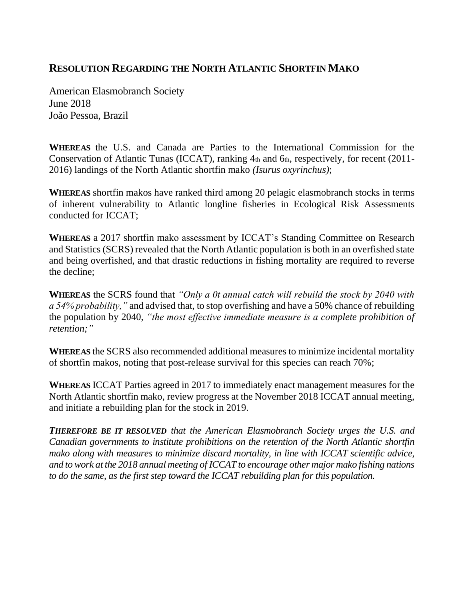## **RESOLUTION REGARDING THE NORTH ATLANTIC SHORTFIN MAKO**

American Elasmobranch Society June 2018 João Pessoa, Brazil

**WHEREAS** the U.S. and Canada are Parties to the International Commission for the Conservation of Atlantic Tunas (ICCAT), ranking  $4<sub>th</sub>$  and  $6<sub>th</sub>$ , respectively, for recent (2011-2016) landings of the North Atlantic shortfin mako *(Isurus oxyrinchus)*;

**WHEREAS** shortfin makos have ranked third among 20 pelagic elasmobranch stocks in terms of inherent vulnerability to Atlantic longline fisheries in Ecological Risk Assessments conducted for ICCAT;

**WHEREAS** a 2017 shortfin mako assessment by ICCAT's Standing Committee on Research and Statistics (SCRS) revealed that the North Atlantic population is both in an overfished state and being overfished, and that drastic reductions in fishing mortality are required to reverse the decline;

**WHEREAS** the SCRS found that *"Only a 0t annual catch will rebuild the stock by 2040 with a 54% probability,"* and advised that, to stop overfishing and have a 50% chance of rebuilding the population by 2040, *"the most effective immediate measure is a complete prohibition of retention;"* 

**WHEREAS** the SCRS also recommended additional measures to minimize incidental mortality of shortfin makos, noting that post-release survival for this species can reach 70%;

**WHEREAS** ICCAT Parties agreed in 2017 to immediately enact management measures for the North Atlantic shortfin mako, review progress at the November 2018 ICCAT annual meeting, and initiate a rebuilding plan for the stock in 2019.

*THEREFORE BE IT RESOLVED that the American Elasmobranch Society urges the U.S. and Canadian governments to institute prohibitions on the retention of the North Atlantic shortfin mako along with measures to minimize discard mortality, in line with ICCAT scientific advice, and to work at the 2018 annual meeting of ICCAT to encourage other major mako fishing nations to do the same, as the first step toward the ICCAT rebuilding plan for this population.*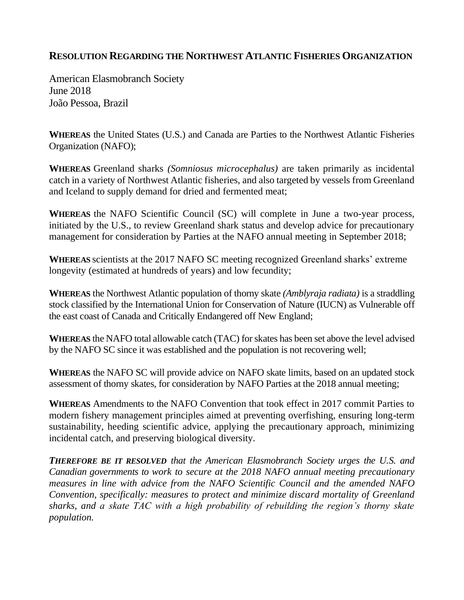## **RESOLUTION REGARDING THE NORTHWEST ATLANTIC FISHERIES ORGANIZATION**

American Elasmobranch Society June 2018 João Pessoa, Brazil

**WHEREAS** the United States (U.S.) and Canada are Parties to the Northwest Atlantic Fisheries Organization (NAFO);

**WHEREAS** Greenland sharks *(Somniosus microcephalus)* are taken primarily as incidental catch in a variety of Northwest Atlantic fisheries, and also targeted by vessels from Greenland and Iceland to supply demand for dried and fermented meat;

**WHEREAS** the NAFO Scientific Council (SC) will complete in June a two-year process, initiated by the U.S., to review Greenland shark status and develop advice for precautionary management for consideration by Parties at the NAFO annual meeting in September 2018;

**WHEREAS** scientists at the 2017 NAFO SC meeting recognized Greenland sharks' extreme longevity (estimated at hundreds of years) and low fecundity;

**WHEREAS** the Northwest Atlantic population of thorny skate *(Amblyraja radiata)* is a straddling stock classified by the International Union for Conservation of Nature (IUCN) as Vulnerable off the east coast of Canada and Critically Endangered off New England;

**WHEREAS** the NAFO total allowable catch (TAC) for skates has been set above the level advised by the NAFO SC since it was established and the population is not recovering well;

**WHEREAS** the NAFO SC will provide advice on NAFO skate limits, based on an updated stock assessment of thorny skates, for consideration by NAFO Parties at the 2018 annual meeting;

**WHEREAS** Amendments to the NAFO Convention that took effect in 2017 commit Parties to modern fishery management principles aimed at preventing overfishing, ensuring long-term sustainability, heeding scientific advice, applying the precautionary approach, minimizing incidental catch, and preserving biological diversity.

*THEREFORE BE IT RESOLVED that the American Elasmobranch Society urges the U.S. and Canadian governments to work to secure at the 2018 NAFO annual meeting precautionary measures in line with advice from the NAFO Scientific Council and the amended NAFO Convention, specifically: measures to protect and minimize discard mortality of Greenland sharks, and a skate TAC with a high probability of rebuilding the region's thorny skate population.*